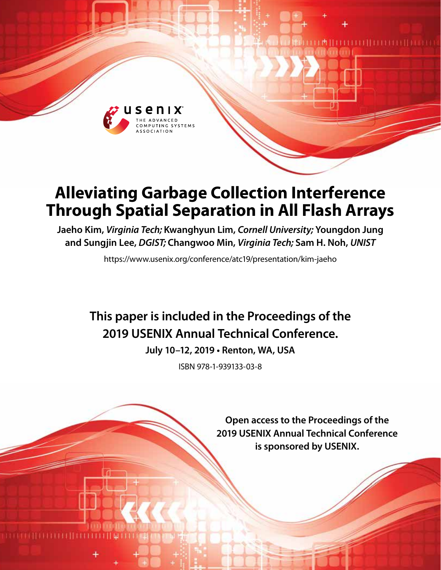

# **Alleviating Garbage Collection Interference Through Spatial Separation in All Flash Arrays**

**Jaeho Kim,** *Virginia Tech;* **Kwanghyun Lim,** *Cornell University;* **Youngdon Jung and Sungjin Lee,** *DGIST;* **Changwoo Min,** *Virginia Tech;* **Sam H. Noh,** *UNIST*

https://www.usenix.org/conference/atc19/presentation/kim-jaeho

## **This paper is included in the Proceedings of the 2019 USENIX Annual Technical Conference.**

**July 10–12, 2019 • Renton, WA, USA**

ISBN 978-1-939133-03-8

**Open access to the Proceedings of the 2019 USENIX Annual Technical Conference is sponsored by USENIX.**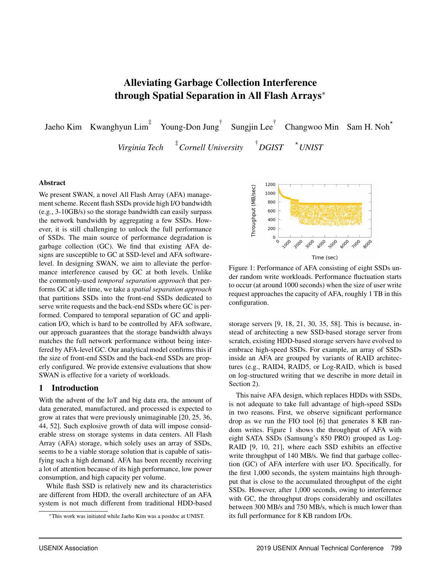## Alleviating Garbage Collection Interference through Spatial Separation in All Flash Arrays<sup>∗</sup>

Jaeho Kim Kwanghyun Lim<sup>‡</sup> Young-Don Jung<sup>†</sup> Sungjin Lee<sup>†</sup> Changwoo Min Sam H. Noh<sup> $\star$ </sup>

> *Virginia Tech* ‡ *Cornell University* †  $\overline{P}$  *DGIST*

#### Abstract

We present SWAN, a novel All Flash Array (AFA) management scheme. Recent flash SSDs provide high I/O bandwidth (e.g., 3-10GB/s) so the storage bandwidth can easily surpass the network bandwidth by aggregating a few SSDs. However, it is still challenging to unlock the full performance of SSDs. The main source of performance degradation is garbage collection (GC). We find that existing AFA designs are susceptible to GC at SSD-level and AFA softwarelevel. In designing SWAN, we aim to alleviate the performance interference caused by GC at both levels. Unlike the commonly-used *temporal separation approach* that performs GC at idle time, we take a *spatial separation approach* that partitions SSDs into the front-end SSDs dedicated to serve write requests and the back-end SSDs where GC is performed. Compared to temporal separation of GC and application I/O, which is hard to be controlled by AFA software, our approach guarantees that the storage bandwidth always matches the full network performance without being interfered by AFA-level GC. Our analytical model confirms this if the size of front-end SSDs and the back-end SSDs are properly configured. We provide extensive evaluations that show SWAN is effective for a variety of workloads.

## 1 Introduction

With the advent of the IoT and big data era, the amount of data generated, manufactured, and processed is expected to grow at rates that were previously unimaginable [20, 25, 36, 44, 52]. Such explosive growth of data will impose considerable stress on storage systems in data centers. All Flash Array (AFA) storage, which solely uses an array of SSDs, seems to be a viable storage solution that is capable of satisfying such a high demand. AFA has been recently receiving a lot of attention because of its high performance, low power consumption, and high capacity per volume.

While flash SSD is relatively new and its characteristics are different from HDD, the overall architecture of an AFA system is not much different from traditional HDD-based



*UNIST*

Figure 1: Performance of AFA consisting of eight SSDs under random write workloads. Performance fluctuation starts to occur (at around 1000 seconds) when the size of user write request approaches the capacity of AFA, roughly 1 TB in this configuration.

storage servers [9, 18, 21, 30, 35, 58]. This is because, instead of architecting a new SSD-based storage server from scratch, existing HDD-based storage servers have evolved to embrace high-speed SSDs. For example, an array of SSDs inside an AFA are grouped by variants of RAID architectures (e.g., RAID4, RAID5, or Log-RAID, which is based on log-structured writing that we describe in more detail in Section 2).

This naive AFA design, which replaces HDDs with SSDs, is not adequate to take full advantage of high-speed SSDs in two reasons. First, we observe significant performance drop as we run the FIO tool [6] that generates 8 KB random writes. Figure 1 shows the throughput of AFA with eight SATA SSDs (Samsung's 850 PRO) grouped as Log-RAID [9, 10, 21], where each SSD exhibits an effective write throughput of 140 MB/s. We find that garbage collection (GC) of AFA interfere with user I/O. Specifically, for the first 1,000 seconds, the system maintains high throughput that is close to the accumulated throughput of the eight SSDs. However, after 1,000 seconds, owing to interference with GC, the throughput drops considerably and oscillates between 300 MB/s and 750 MB/s, which is much lower than its full performance for 8 KB random I/Os.

<sup>∗</sup>This work was initiated while Jaeho Kim was a postdoc at UNIST.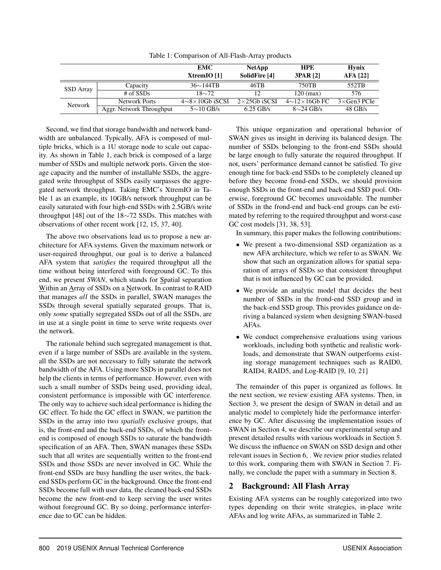|                |                          | <b>EMC</b><br>$X$ trem $IO$ [1] | <b>NetApp</b><br>SolidFire [4] | <b>HPE</b><br><b>3PAR [2]</b> | <b>Hynix</b><br><b>AFA [22]</b> |
|----------------|--------------------------|---------------------------------|--------------------------------|-------------------------------|---------------------------------|
| SSD Array      | Capacity                 | $36\sim$ 144TB                  | 46TB                           | 750TB                         | 552TB                           |
|                | $#$ of SSDs              | $18 \sim 72$                    | 12                             | $120 \text{ (max)}$           | 576                             |
| <b>Network</b> | Network Ports            | $4{\sim}8{\times}10$ Gb iSCSI   | $2\times 25$ Gb iSCSI          | $4{\sim}12{\times}16$ Gb FC   | $3\times$ Gen3 PCIe             |
|                | Aggr. Network Throughput | $5{\sim}10$ GB/s                | $6.25$ GB/s                    | $8\sim$ 24 GB/s               | $48$ GB/s                       |

Table 1: Comparison of All-Flash-Array products

Second, we find that storage bandwidth and network bandwidth are unbalanced. Typically, AFA is composed of multiple bricks, which is a 1U storage node to scale out capacity. As shown in Table 1, each brick is composed of a large number of SSDs and multiple network ports. Given the storage capacity and the number of installable SSDs, the aggregated write throughput of SSDs easily surpasses the aggregated network throughput. Taking EMC's XtremIO in Table 1 as an example, its 10GB/s network throughput can be easily saturated with four high-end SSDs with 2.5GB/s write throughput [48] out of the 18∼72 SSDs. This matches with observations of other recent work [12, 15, 37, 40].

The above two observations lead us to propose a new architecture for AFA systems. Given the maximum network or user-required throughput, our goal is to derive a balanced AFA system that *satisfies* the required throughput all the time without being interfered with foreground GC. To this end, we present *SWAN*, which stands for Spatial separation Within an Array of SSDs on a Network. In contrast to RAID that manages *all* the SSDs in parallel, SWAN manages the SSDs through several spatially separated groups. That is, only *some* spatially segregated SSDs out of all the SSDs, are in use at a single point in time to serve write requests over the network.

The rationale behind such segregated management is that, even if a large number of SSDs are available in the system, all the SSDs are not necessary to fully saturate the network bandwidth of the AFA. Using more SSDs in parallel does not help the clients in terms of performance. However, even with such a small number of SSDs being used, providing ideal, consistent performance is impossible with GC interference. The only way to achieve such ideal performance is hiding the GC effect. To hide the GC effect in SWAN, we partition the SSDs in the array into two *spatially* exclusive groups, that is, the front-end and the back-end SSDs, of which the frontend is composed of enough SSDs to saturate the bandwidth specification of an AFA. Then, SWAN manages these SSDs such that all writes are sequentially written to the front-end SSDs and those SSDs are never involved in GC. While the front-end SSDs are busy handling the user writes, the backend SSDs perform GC in the background. Once the front-end SSDs become full with user data, the cleaned back-end SSDs become the new front-end to keep serving the user writes without foreground GC. By so doing, performance interference due to GC can be hidden.

This unique organization and operational behavior of SWAN gives us insight in deriving its balanced design. The number of SSDs belonging to the front-end SSDs should be large enough to fully saturate the required throughput. If not, users' performance demand cannot be satisfied. To give enough time for back-end SSDs to be completely cleaned up before they become frond-end SSDs, we should provision enough SSDs in the front-end and back-end SSD pool. Otherwise, foreground GC becomes unavoidable. The number of SSDs in the frond-end and back-end groups can be estimated by referring to the required throughput and worst-case GC cost models [31, 38, 53].

In summary, this paper makes the following contributions:

- We present a two-dimensional SSD organization as a new AFA architecture, which we refer to as SWAN. We show that such an organization allows for spatial separation of arrays of SSDs so that consistent throughput that is not influenced by GC can be provided.
- We provide an analytic model that decides the best number of SSDs in the frond-end SSD group and in the back-end SSD group. This provides guidance on deriving a balanced system when designing SWAN-based AFAs.
- We conduct comprehensive evaluations using various workloads, including both synthetic and realistic workloads, and demonstrate that SWAN outperforms existing storage management techniques such as RAID0, RAID4, RAID5, and Log-RAID [9, 10, 21]

The remainder of this paper is organized as follows. In the next section, we review existing AFA systems. Then, in Section 3, we present the design of SWAN in detail and an analytic model to completely hide the performance interference by GC. After discussing the implementation issues of SWAN in Section 4, we describe our experimental setup and present detailed results with various workloads in Section 5. We discuss the influence on SWAN on SSD design and other relevant issues in Section 6, . We review prior studies related to this work, comparing them with SWAN in Section 7. Finally, we conclude the paper with a summary in Section 8.

## 2 Background: All Flash Array

Existing AFA systems can be roughly categorized into two types depending on their write strategies, in-place write AFAs and log write AFAs, as summarized in Table 2.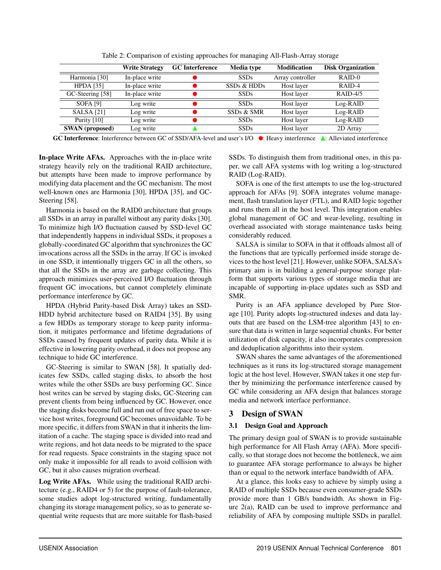|                        | <b>Write Strategy</b> | <b>GC</b> Interference | Media type             | <b>Modification</b> | <b>Disk Organization</b> |
|------------------------|-----------------------|------------------------|------------------------|---------------------|--------------------------|
| Harmonia [30]          | In-place write        |                        | <b>SSDs</b>            | Array controller    | $RAID-0$                 |
| <b>HPDA</b> [35]       | In-place write        |                        | SSDs & HDDs            | Host layer          | RAID-4                   |
| GC-Steering [58]       | In-place write        |                        | <b>SSDs</b>            | Host layer          | $RAID-4/5$               |
| <b>SOFA [9]</b>        | Log write             |                        | <b>SSDs</b>            | Host layer          | Log-RAID                 |
| <b>SALSA</b> [21]      | Log write             |                        | SSD <sub>s</sub> & SMR | Host layer          | Log-RAID                 |
| Purity $[10]$          | Log write             |                        | <b>SSDs</b>            | Host layer          | Log-RAID                 |
| <b>SWAN</b> (proposed) | Log write             |                        | <b>SSDs</b>            | Host layer          | 2D Array                 |

Table 2: Comparison of existing approaches for managing All-Flash-Array storage

GC Interference: Interference between GC of SSD/AFA-level and user's I/O  $\bullet$ : Heavy interference A: Alleviated interference

In-place Write AFAs. Approaches with the in-place write strategy heavily rely on the traditional RAID architecture, but attempts have been made to improve performance by modifying data placement and the GC mechanism. The most well-known ones are Harmonia [30], HPDA [35], and GC-Steering [58].

Harmonia is based on the RAID0 architecture that groups all SSDs in an array in parallel without any parity disks [30]. To minimize high I/O fluctuation caused by SSD-level GC that independently happens in individual SSDs, it proposes a globally-coordinated GC algorithm that synchronizes the GC invocations across all the SSDs in the array. If GC is invoked in one SSD, it intentionally triggers GC in all the others, so that all the SSDs in the array are garbage collecting. This approach minimizes user-perceived I/O fluctuation through frequent GC invocations, but cannot completely eliminate performance interference by GC.

HPDA (Hybrid Parity-based Disk Array) takes an SSD-HDD hybrid architecture based on RAID4 [35]. By using a few HDDs as temporary storage to keep parity information, it mitigates performance and lifetime degradations of SSDs caused by frequent updates of parity data. While it is effective in lowering parity overhead, it does not propose any technique to hide GC interference.

GC-Steering is similar to SWAN [58]. It spatially dedicates few SSDs, called staging disks, to absorb the host writes while the other SSDs are busy performing GC. Since host writes can be served by staging disks, GC-Steering can prevent clients from being influenced by GC. However, once the staging disks become full and run out of free space to service host writes, foreground GC becomes unavoidable. To be more specific, it differs from SWAN in that it inherits the limitation of a cache. The staging space is divided into read and write regions, and hot data needs to be migrated to the space for read requests. Space constraints in the staging space not only make it impossible for all reads to avoid collision with GC, but it also causes migration overhead.

Log Write AFAs. While using the traditional RAID architecture (e.g., RAID4 or 5) for the purpose of fault-tolerance, some studies adopt log-structured writing, fundamentally changing its storage management policy, so as to generate sequential write requests that are more suitable for flash-based

SSDs. To distinguish them from traditional ones, in this paper, we call AFA systems with log writing a log-structured RAID (Log-RAID).

SOFA is one of the first attempts to use the log-structured approach for AFAs [9]. SOFA integrates volume management, flash translation layer (FTL), and RAID logic together and runs them all in the host level. This integration enables global management of GC and wear-leveling, resulting in overhead associated with storage maintenance tasks being considerably reduced.

SALSA is similar to SOFA in that it offloads almost all of the functions that are typically performed inside storage devices to the host level [21]. However, unlike SOFA, SALSA's primary aim is in building a general-purpose storage platform that supports various types of storage media that are incapable of supporting in-place updates such as SSD and SMR.

Purity is an AFA appliance developed by Pure Storage [10]. Purity adopts log-structured indexes and data layouts that are based on the LSM-tree algorithm [43] to ensure that data is written in large sequential chunks. For better utilization of disk capacity, it also incorporates compression and deduplication algorithms into their system.

SWAN shares the same advantages of the aforementioned techniques as it runs its log-structured storage management logic at the host level. However, SWAN takes it one step further by minimizing the performance interference caused by GC while considering an AFA design that balances storage media and network interface performance.

## 3 Design of SWAN

## 3.1 Design Goal and Approach

The primary design goal of SWAN is to provide sustainable high performance for All Flash Array (AFA). More specifically, so that storage does not become the bottleneck, we aim to guarantee AFA storage performance to always be higher than or equal to the network interface bandwidth of AFA.

At a glance, this looks easy to achieve by simply using a RAID of multiple SSDs because even consumer-grade SSDs provide more than 1 GB/s bandwidth. As shown in Figure 2(a), RAID can be used to improve performance and reliability of AFA by composing multiple SSDs in parallel.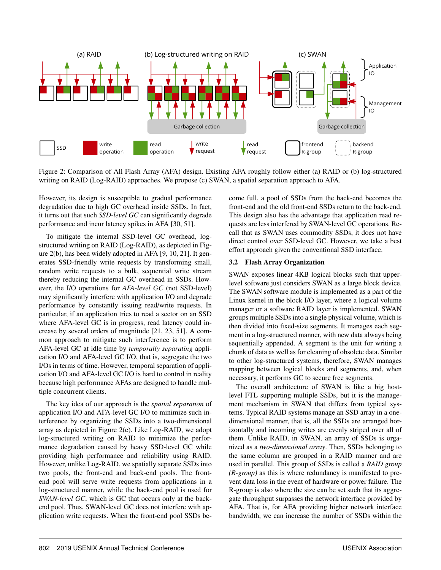

Figure 2: Comparison of All Flash Array (AFA) design. Existing AFA roughly follow either (a) RAID or (b) log-structured writing on RAID (Log-RAID) approaches. We propose (c) SWAN, a spatial separation approach to AFA.

However, its design is susceptible to gradual performance degradation due to high GC overhead inside SSDs. In fact, it turns out that such *SSD-level GC* can significantly degrade performance and incur latency spikes in AFA [30, 51].

To mitigate the internal SSD-level GC overhead, logstructured writing on RAID (Log-RAID), as depicted in Figure 2(b), has been widely adopted in AFA [9, 10, 21]. It generates SSD-friendly write requests by transforming small, random write requests to a bulk, sequential write stream thereby reducing the internal GC overhead in SSDs. However, the I/O operations for *AFA-level GC* (not SSD-level) may significantly interfere with application I/O and degrade performance by constantly issuing read/write requests. In particular, if an application tries to read a sector on an SSD where AFA-level GC is in progress, read latency could increase by several orders of magnitude [21, 23, 51]. A common approach to mitigate such interference is to perform AFA-level GC at idle time by *temporally separating* application I/O and AFA-level GC I/O, that is, segregate the two I/Os in terms of time. However, temporal separation of application I/O and AFA-level GC I/O is hard to control in reality because high performance AFAs are designed to handle multiple concurrent clients.

The key idea of our approach is the *spatial separation* of application I/O and AFA-level GC I/O to minimize such interference by organizing the SSDs into a two-dimensional array as depicted in Figure 2(c). Like Log-RAID, we adopt log-structured writing on RAID to minimize the performance degradation caused by heavy SSD-level GC while providing high performance and reliability using RAID. However, unlike Log-RAID, we spatially separate SSDs into two pools, the front-end and back-end pools. The frontend pool will serve write requests from applications in a log-structured manner, while the back-end pool is used for *SWAN-level GC*, which is GC that occurs only at the backend pool. Thus, SWAN-level GC does not interfere with application write requests. When the front-end pool SSDs become full, a pool of SSDs from the back-end becomes the front-end and the old front-end SSDs return to the back-end. This design also has the advantage that application read requests are less interfered by SWAN-level GC operations. Recall that as SWAN uses commodity SSDs, it does not have direct control over SSD-level GC. However, we take a best effort approach given the conventional SSD interface.

#### 3.2 Flash Array Organization

SWAN exposes linear 4KB logical blocks such that upperlevel software just considers SWAN as a large block device. The SWAN software module is implemented as a part of the Linux kernel in the block I/O layer, where a logical volume manager or a software RAID layer is implemented. SWAN groups multiple SSDs into a single physical volume, which is then divided into fixed-size segments. It manages each segment in a log-structured manner, with new data always being sequentially appended. A segment is the unit for writing a chunk of data as well as for cleaning of obsolete data. Similar to other log-structured systems, therefore, SWAN manages mapping between logical blocks and segments, and, when necessary, it performs GC to secure free segments.

The overall architecture of SWAN is like a big hostlevel FTL supporting multiple SSDs, but it is the management mechanism in SWAN that differs from typical systems. Typical RAID systems manage an SSD array in a onedimensional manner, that is, all the SSDs are arranged horizontally and incoming writes are evenly striped over all of them. Unlike RAID, in SWAN, an array of SSDs is organized as a *two-dimensional array*. Then, SSDs belonging to the same column are grouped in a RAID manner and are used in parallel. This group of SSDs is called a *RAID group (R-group)* as this is where redundancy is manifested to prevent data loss in the event of hardware or power failure. The R-group is also where the size can be set such that its aggregate throughput surpasses the network interface provided by AFA. That is, for AFA providing higher network interface bandwidth, we can increase the number of SSDs within the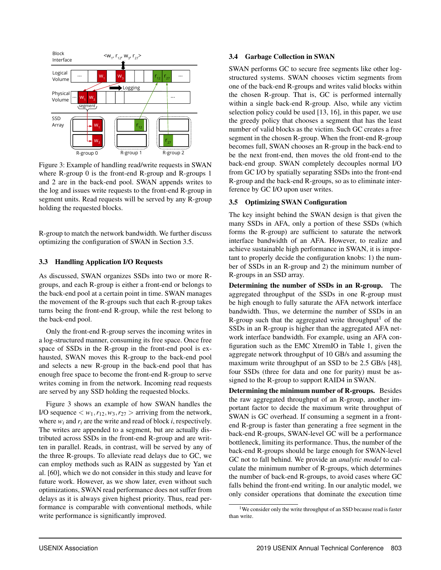

Figure 3: Example of handling read/write requests in SWAN where R-group 0 is the front-end R-group and R-groups 1 and 2 are in the back-end pool. SWAN appends writes to the log and issues write requests to the front-end R-group in segment units. Read requests will be served by any R-group holding the requested blocks.

R-group to match the network bandwidth. We further discuss optimizing the configuration of SWAN in Section 3.5.

#### 3.3 Handling Application I/O Requests

As discussed, SWAN organizes SSDs into two or more Rgroups, and each R-group is either a front-end or belongs to the back-end pool at a certain point in time. SWAN manages the movement of the R-groups such that each R-group takes turns being the front-end R-group, while the rest belong to the back-end pool.

Only the front-end R-group serves the incoming writes in a log-structured manner, consuming its free space. Once free space of SSDs in the R-group in the front-end pool is exhausted, SWAN moves this R-group to the back-end pool and selects a new R-group in the back-end pool that has enough free space to become the front-end R-group to serve writes coming in from the network. Incoming read requests are served by any SSD holding the requested blocks.

Figure 3 shows an example of how SWAN handles the I/O sequence  $\langle w_1, r_{12}, w_3, r_{27} \rangle$  arriving from the network, where  $w_i$  and  $r_i$  are the write and read of block *i*, respectively. The writes are appended to a segment, but are actually distributed across SSDs in the front-end R-group and are written in parallel. Reads, in contrast, will be served by any of the three R-groups. To alleviate read delays due to GC, we can employ methods such as RAIN as suggested by Yan et al. [60], which we do not consider in this study and leave for future work. However, as we show later, even without such optimizations, SWAN read performance does not suffer from delays as it is always given highest priority. Thus, read performance is comparable with conventional methods, while write performance is significantly improved.

#### 3.4 Garbage Collection in SWAN

SWAN performs GC to secure free segments like other logstructured systems. SWAN chooses victim segments from one of the back-end R-groups and writes valid blocks within the chosen R-group. That is, GC is performed internally within a single back-end R-group. Also, while any victim selection policy could be used [13, 16], in this paper, we use the greedy policy that chooses a segment that has the least number of valid blocks as the victim. Such GC creates a free segment in the chosen R-group. When the front-end R-group becomes full, SWAN chooses an R-group in the back-end to be the next front-end, then moves the old front-end to the back-end group. SWAN completely decouples normal I/O from GC I/O by spatially separating SSDs into the front-end R-group and the back-end R-groups, so as to eliminate interference by GC I/O upon user writes.

#### 3.5 Optimizing SWAN Configuration

The key insight behind the SWAN design is that given the many SSDs in AFA, only a portion of these SSDs (which forms the R-group) are sufficient to saturate the network interface bandwidth of an AFA. However, to realize and achieve sustainable high performance in SWAN, it is important to properly decide the configuration knobs: 1) the number of SSDs in an R-group and 2) the minimum number of R-groups in an SSD array.

Determining the number of SSDs in an R-group. The aggregated throughput of the SSDs in one R-group must be high enough to fully saturate the AFA network interface bandwidth. Thus, we determine the number of SSDs in an R-group such that the aggregated write throughput<sup>1</sup> of the SSDs in an R-group is higher than the aggregated AFA network interface bandwidth. For example, using an AFA configuration such as the EMC XtremIO in Table 1, given the aggregate network throughput of 10 GB/s and assuming the maximum write throughput of an SSD to be 2.5 GB/s [48], four SSDs (three for data and one for parity) must be assigned to the R-group to support RAID4 in SWAN.

Determining the minimum number of R-groups. Besides the raw aggregated throughput of an R-group, another important factor to decide the maximum write throughput of SWAN is GC overhead. If consuming a segment in a frontend R-group is faster than generating a free segment in the back-end R-groups, SWAN-level GC will be a performance bottleneck, limiting its performance. Thus, the number of the back-end R-groups should be large enough for SWAN-level GC not to fall behind. We provide an *analytic model* to calculate the minimum number of R-groups, which determines the number of back-end R-groups, to avoid cases where GC falls behind the front-end writing. In our analytic model, we only consider operations that dominate the execution time

<sup>&</sup>lt;sup>1</sup>We consider only the write throughput of an SSD because read is faster than write.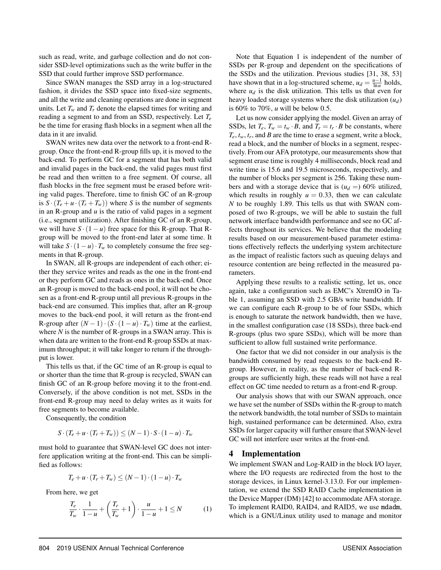such as read, write, and garbage collection and do not consider SSD-level optimizations such as the write buffer in the SSD that could further improve SSD performance.

Since SWAN manages the SSD array in a log-structured fashion, it divides the SSD space into fixed-size segments, and all the write and cleaning operations are done in segment units. Let  $T_w$  and  $T_r$  denote the elapsed times for writing and reading a segment to and from an SSD, respectively. Let *T<sup>e</sup>* be the time for erasing flash blocks in a segment when all the data in it are invalid.

SWAN writes new data over the network to a front-end Rgroup. Once the front-end R-group fills up, it is moved to the back-end. To perform GC for a segment that has both valid and invalid pages in the back-end, the valid pages must first be read and then written to a free segment. Of course, all flash blocks in the free segment must be erased before writing valid pages. Therefore, time to finish GC of an R-group is  $S \cdot (T_e + u \cdot (T_r + T_w))$  where *S* is the number of segments in an R-group and *u* is the ratio of valid pages in a segment (i.e., segment utilization). After finishing GC of an R-group, we will have  $S \cdot (1 - u)$  free space for this R-group. That Rgroup will be moved to the front-end later at some time. It will take  $S \cdot (1 - u) \cdot T_w$  to completely consume the free segments in that R-group.

In SWAN, all R-groups are independent of each other; either they service writes and reads as the one in the front-end or they perform GC and reads as ones in the back-end. Once an R-group is moved to the back-end pool, it will not be chosen as a front-end R-group until all previous R-groups in the back-end are consumed. This implies that, after an R-group moves to the back-end pool, it will return as the front-end R-group after  $(N-1) \cdot (S \cdot (1-u) \cdot T_w)$  time at the earliest, where  $N$  is the number of R-groups in a SWAN array. This is when data are written to the front-end R-group SSDs at maximum throughput; it will take longer to return if the throughput is lower.

This tells us that, if the GC time of an R-group is equal to or shorter than the time that R-group is recycled, SWAN can finish GC of an R-group before moving it to the front-end. Conversely, if the above condition is not met, SSDs in the front-end R-group may need to delay writes as it waits for free segments to become available.

Consequently, the condition

$$
S \cdot (T_e + u \cdot (T_r + T_w)) \le (N - 1) \cdot S \cdot (1 - u) \cdot T_w
$$

must hold to guarantee that SWAN-level GC does not interfere application writing at the front-end. This can be simplified as follows:

$$
T_e + u \cdot (T_r + T_w) \le (N - 1) \cdot (1 - u) \cdot T_w
$$

From here, we get

$$
\frac{T_e}{T_w} \cdot \frac{1}{1-u} + \left(\frac{T_r}{T_w} + 1\right) \cdot \frac{u}{1-u} + 1 \le N \tag{1}
$$

Note that Equation 1 is independent of the number of SSDs per R-group and dependent on the specifications of the SSDs and the utilization. Previous studies [31, 38, 53] have shown that in a log-structured scheme,  $u_d = \frac{u-1}{\ln u}$  holds, where  $u_d$  is the disk utilization. This tells us that even for heavy loaded storage systems where the disk utilization (*ud*) is 60% to 70%, *u* will be below 0.5.

Let us now consider applying the model. Given an array of SSDs, let  $T_e$ ,  $T_w = t_w \cdot B$ , and  $T_r = t_r \cdot B$  be constants, where  $T_e$ ,  $t_w$ ,  $t_r$ , and *B* are the time to erase a segment, write a block, read a block, and the number of blocks in a segment, respectively. From our AFA prototype, our measurements show that segment erase time is roughly 4 milliseconds, block read and write time is 15.6 and 19.5 microseconds, respectively, and the number of blocks per segment is 256. Taking these numbers and with a storage device that is  $(u_d =)$  60% utilized, which results in roughly  $u = 0.33$ , then we can calculate *N* to be roughly 1.89. This tells us that with SWAN composed of two R-groups, we will be able to sustain the full network interface bandwidth performance and see no GC affects throughout its services. We believe that the modeling results based on our measurement-based parameter estimations effectively reflects the underlying system architecture as the impact of realistic factors such as queuing delays and resource contention are being reflected in the measured parameters.

Applying these results to a realistic setting, let us, once again, take a configuration such as EMC's XtremIO in Table 1, assuming an SSD with 2.5 GB/s write bandwidth. If we can configure each R-group to be of four SSDs, which is enough to saturate the network bandwidth, then we have, in the smallest configuration case (18 SSDs), three back-end R-groups (plus two spare SSDs), which will be more than sufficient to allow full sustained write performance.

One factor that we did not consider in our analysis is the bandwidth consumed by read requests to the back-end Rgroup. However, in reality, as the number of back-end Rgroups are sufficiently high, these reads will not have a real effect on GC time needed to return as a front-end R-group.

Our analysis shows that with our SWAN approach, once we have set the number of SSDs within the R-group to match the network bandwidth, the total number of SSDs to maintain high, sustained performance can be determined. Also, extra SSDs for larger capacity will further ensure that SWAN-level GC will not interfere user writes at the front-end.

#### 4 Implementation

We implement SWAN and Log-RAID in the block I/O layer, where the I/O requests are redirected from the host to the storage devices, in Linux kernel-3.13.0. For our implementation, we extend the SSD RAID Cache implementation in the Device Mapper (DM) [42] to accommodate AFA storage. To implement RAID0, RAID4, and RAID5, we use mdadm, which is a GNU/Linux utility used to manage and monitor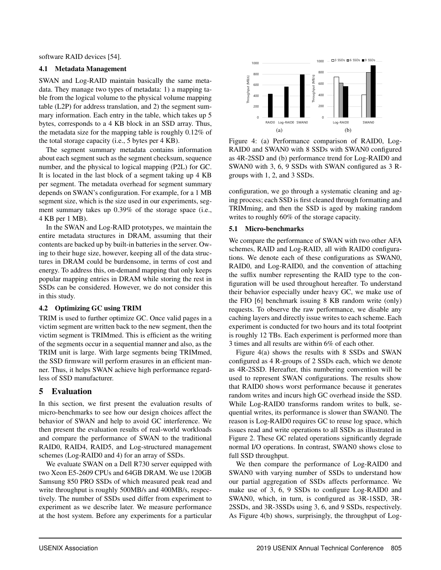software RAID devices [54].

#### 4.1 Metadata Management

SWAN and Log-RAID maintain basically the same metadata. They manage two types of metadata: 1) a mapping table from the logical volume to the physical volume mapping table (L2P) for address translation, and 2) the segment summary information. Each entry in the table, which takes up 5 bytes, corresponds to a 4 KB block in an SSD array. Thus, the metadata size for the mapping table is roughly 0.12% of the total storage capacity (i.e., 5 bytes per 4 KB).

The segment summary metadata contains information about each segment such as the segment checksum, sequence number, and the physical to logical mapping (P2L) for GC. It is located in the last block of a segment taking up 4 KB per segment. The metadata overhead for segment summary depends on SWAN's configuration. For example, for a 1 MB segment size, which is the size used in our experiments, segment summary takes up 0.39% of the storage space (i.e., 4 KB per 1 MB).

In the SWAN and Log-RAID prototypes, we maintain the entire metadata structures in DRAM, assuming that their contents are backed up by built-in batteries in the server. Owing to their huge size, however, keeping all of the data structures in DRAM could be burdensome, in terms of cost and energy. To address this, on-demand mapping that only keeps popular mapping entries in DRAM while storing the rest in SSDs can be considered. However, we do not consider this in this study.

#### 4.2 Optimizing GC using TRIM

TRIM is used to further optimize GC. Once valid pages in a victim segment are written back to the new segment, then the victim segment is TRIMmed. This is efficient as the writing of the segments occur in a sequential manner and also, as the TRIM unit is large. With large segments being TRIMmed, the SSD firmware will perform erasures in an efficient manner. Thus, it helps SWAN achieve high performance regardless of SSD manufacturer.

## 5 Evaluation

In this section, we first present the evaluation results of micro-benchmarks to see how our design choices affect the behavior of SWAN and help to avoid GC interference. We then present the evaluation results of real-world workloads and compare the performance of SWAN to the traditional RAID0, RAID4, RAID5, and Log-structured management schemes (Log-RAID0 and 4) for an array of SSDs.

We evaluate SWAN on a Dell R730 server equipped with two Xeon E5-2609 CPUs and 64GB DRAM. We use 120GB Samsung 850 PRO SSDs of which measured peak read and write throughput is roughly 500MB/s and 400MB/s, respectively. The number of SSDs used differ from experiment to experiment as we describe later. We measure performance at the host system. Before any experiments for a particular



Figure 4: (a) Performance comparison of RAID0, Log-RAID0 and SWAN0 with 8 SSDs with SWAN0 configured as 4R-2SSD and (b) performance trend for Log-RAID0 and SWAN0 with 3, 6, 9 SSDs with SWAN configured as 3 Rgroups with 1, 2, and 3 SSDs.

configuration, we go through a systematic cleaning and aging process; each SSD is first cleaned through formatting and TRIMming, and then the SSD is aged by making random writes to roughly 60% of the storage capacity.

#### 5.1 Micro-benchmarks

We compare the performance of SWAN with two other AFA schemes, RAID and Log-RAID, all with RAID0 configurations. We denote each of these configurations as SWAN0, RAID0, and Log-RAID0, and the convention of attaching the suffix number representing the RAID type to the configuration will be used throughout hereafter. To understand their behavior especially under heavy GC, we make use of the FIO [6] benchmark issuing 8 KB random write (only) requests. To observe the raw performance, we disable any caching layers and directly issue writes to each scheme. Each experiment is conducted for two hours and its total footprint is roughly 12 TBs. Each experiment is performed more than 3 times and all results are within 6% of each other.

Figure 4(a) shows the results with 8 SSDs and SWAN configured as 4 R-groups of 2 SSDs each, which we denote as 4R-2SSD. Hereafter, this numbering convention will be used to represent SWAN configurations. The results show that RAID0 shows worst performance because it generates random writes and incurs high GC overhead inside the SSD. While Log-RAID0 transforms random writes to bulk, sequential writes, its performance is slower than SWAN0. The reason is Log-RAID0 requires GC to reuse log space, which issues read and write operations to all SSDs as illustrated in Figure 2. These GC related operations significantly degrade normal I/O operations. In contrast, SWAN0 shows close to full SSD throughput.

We then compare the performance of Log-RAID0 and SWAN0 with varying number of SSDs to understand how our partial aggregation of SSDs affects performance. We make use of 3, 6, 9 SSDs to configure Log-RAID0 and SWAN0, which, in turn, is configured as 3R-1SSD, 3R-2SSDs, and 3R-3SSDs using 3, 6, and 9 SSDs, respectively. As Figure 4(b) shows, surprisingly, the throughput of Log-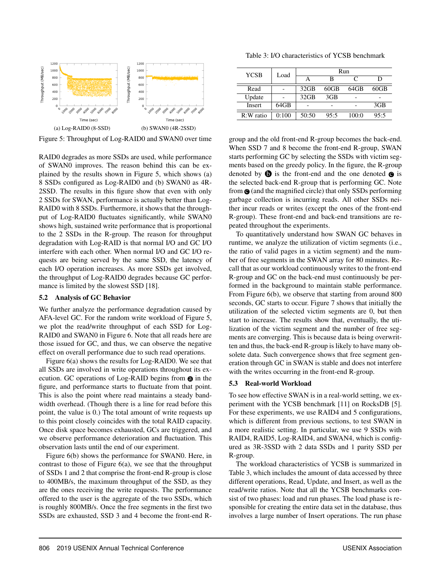

Figure 5: Throughput of Log-RAID0 and SWAN0 over time

RAID0 degrades as more SSDs are used, while performance of SWAN0 improves. The reason behind this can be explained by the results shown in Figure 5, which shows (a) 8 SSDs configured as Log-RAID0 and (b) SWAN0 as 4R-2SSD. The results in this figure show that even with only 2 SSDs for SWAN, performance is actually better than Log-RAID0 with 8 SSDs. Furthermore, it shows that the throughput of Log-RAID0 fluctuates significantly, while SWAN0 shows high, sustained write performance that is proportional to the 2 SSDs in the R-group. The reason for throughput degradation with Log-RAID is that normal I/O and GC I/O interfere with each other. When normal I/O and GC I/O requests are being served by the same SSD, the latency of each I/O operation increases. As more SSDs get involved, the throughput of Log-RAID0 degrades because GC performance is limited by the slowest SSD [18].

#### 5.2 Analysis of GC Behavior

We further analyze the performance degradation caused by AFA-level GC. For the random write workload of Figure 5, we plot the read/write throughput of each SSD for Log-RAID0 and SWAN0 in Figure 6. Note that all reads here are those issued for GC, and thus, we can observe the negative effect on overall performance due to such read operations.

Figure 6(a) shows the results for Log-RAID0. We see that all SSDs are involved in write operations throughout its execution. GC operations of Log-RAID begins from  $\odot$  in the figure, and performance starts to fluctuate from that point. This is also the point where read maintains a steady bandwidth overhead. (Though there is a line for read before this point, the value is 0.) The total amount of write requests up to this point closely coincides with the total RAID capacity. Once disk space becomes exhausted, GCs are triggered, and we observe performance deterioration and fluctuation. This observation lasts until the end of our experiment.

Figure 6(b) shows the performance for SWAN0. Here, in contrast to those of Figure  $6(a)$ , we see that the throughput of SSDs 1 and 2 that comprise the front-end R-group is close to 400MB/s, the maximum throughput of the SSD, as they are the ones receiving the write requests. The performance offered to the user is the aggregate of the two SSDs, which is roughly 800MB/s. Once the free segments in the first two SSDs are exhausted, SSD 3 and 4 become the front-end R-

Table 3: I/O characteristics of YCSB benchmark

| <b>YCSB</b>   | Load  | Run     |         |       |         |
|---------------|-------|---------|---------|-------|---------|
|               |       | А       | в       | C     | D       |
| Read          |       | $32$ GB | $60$ GB | 64GB  | $60$ GB |
| Update        |       | $32$ GB | 3GB     |       |         |
| <b>Insert</b> | 64GB  |         |         |       | 3GB     |
| $R:W$ ratio   | 0:100 | 50:50   | 95:5    | 100:0 | 95:5    |

group and the old front-end R-group becomes the back-end. When SSD 7 and 8 become the front-end R-group, SWAN starts performing GC by selecting the SSDs with victim segments based on the greedy policy. In the figure, the R-group denoted by  $\bullet$  is the front-end and the one denoted  $\bullet$  is the selected back-end R-group that is performing GC. Note from  $\odot$  (and the magnified circle) that only SSDs performing garbage collection is incurring reads. All other SSDs neither incur reads or writes (except the ones of the front-end R-group). These front-end and back-end transitions are repeated throughout the experiments.

To quantitatively understand how SWAN GC behaves in runtime, we analyze the utilization of victim segments (i.e., the ratio of valid pages in a victim segment) and the number of free segments in the SWAN array for 80 minutes. Recall that as our workload continuously writes to the front-end R-group and GC on the back-end must continuously be performed in the background to maintain stable performance. From Figure 6(b), we observe that starting from around 800 seconds, GC starts to occur. Figure 7 shows that initially the utilization of the selected victim segments are 0, but then start to increase. The results show that, eventually, the utilization of the victim segment and the number of free segments are converging. This is because data is being overwritten and thus, the back-end R-group is likely to have many obsolete data. Such convergence shows that free segment generation through GC in SWAN is stable and does not interfere with the writes occurring in the front-end R-group.

#### 5.3 Real-world Workload

To see how effective SWAN is in a real-world setting, we experiment with the YCSB benchmark [11] on RocksDB [5]. For these experiments, we use RAID4 and 5 configurations, which is different from previous sections, to test SWAN in a more realistic setting. In particular, we use 9 SSDs with RAID4, RAID5, Log-RAID4, and SWAN4, which is configured as 3R-3SSD with 2 data SSDs and 1 parity SSD per R-group.

The workload characteristics of YCSB is summarized in Table 3, which includes the amount of data accessed by three different operations, Read, Update, and Insert, as well as the read/write ratios. Note that all the YCSB benchmarks consist of two phases: load and run phases. The load phase is responsible for creating the entire data set in the database, thus involves a large number of Insert operations. The run phase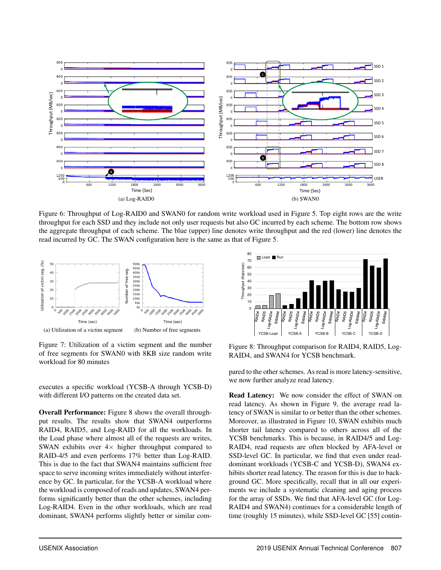

Figure 6: Throughput of Log-RAID0 and SWAN0 for random write workload used in Figure 5. Top eight rows are the write throughput for each SSD and they include not only user requests but also GC incurred by each scheme. The bottom row shows the aggregate throughput of each scheme. The blue (upper) line denotes write throughput and the red (lower) line denotes the read incurred by GC. The SWAN configuration here is the same as that of Figure 5.



Figure 7: Utilization of a victim segment and the number of free segments for SWAN0 with 8KB size random write workload for 80 minutes

executes a specific workload (YCSB-A through YCSB-D) with different I/O patterns on the created data set.

Overall Performance: Figure 8 shows the overall throughput results. The results show that SWAN4 outperforms RAID4, RAID5, and Log-RAID for all the workloads. In the Load phase where almost all of the requests are writes, SWAN exhibits over  $4 \times$  higher throughput compared to RAID-4/5 and even performs 17% better than Log-RAID. This is due to the fact that SWAN4 maintains sufficient free space to serve incoming writes immediately without interference by GC. In particular, for the YCSB-A workload where the workload is composed of reads and updates, SWAN4 performs significantly better than the other schemes, including Log-RAID4. Even in the other workloads, which are read dominant, SWAN4 performs slightly better or similar com-



Figure 8: Throughput comparison for RAID4, RAID5, Log-RAID4, and SWAN4 for YCSB benchmark.

pared to the other schemes. As read is more latency-sensitive, we now further analyze read latency.

Read Latency: We now consider the effect of SWAN on read latency. As shown in Figure 9, the average read latency of SWAN is similar to or better than the other schemes. Moreover, as illustrated in Figure 10, SWAN exhibits much shorter tail latency compared to others across all of the YCSB benchmarks. This is because, in RAID4/5 and Log-RAID4, read requests are often blocked by AFA-level or SSD-level GC. In particular, we find that even under readdominant workloads (YCSB-C and YCSB-D), SWAN4 exhibits shorter read latency. The reason for this is due to background GC. More specifically, recall that in all our experiments we include a systematic cleaning and aging process for the array of SSDs. We find that AFA-level GC (for Log-RAID4 and SWAN4) continues for a considerable length of time (roughly 15 minutes), while SSD-level GC [55] contin-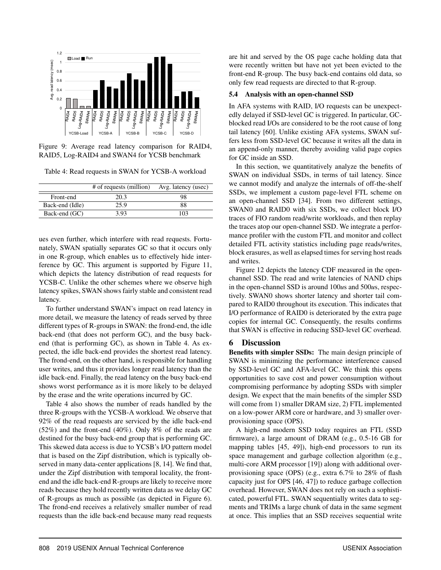

Figure 9: Average read latency comparison for RAID4, RAID5, Log-RAID4 and SWAN4 for YCSB benchmark

Table 4: Read requests in SWAN for YCSB-A workload

|                 | # of requests (million) | Avg. latency (usec) |
|-----------------|-------------------------|---------------------|
| Front-end       | 20.3                    | 98                  |
| Back-end (Idle) | 25.9                    | 88                  |
| Back-end (GC)   | 3.93                    | 103                 |

ues even further, which interfere with read requests. Fortunately, SWAN spatially separates GC so that it occurs only in one R-group, which enables us to effectively hide interference by GC. This argument is supported by Figure 11, which depicts the latency distribution of read requests for YCSB-C. Unlike the other schemes where we observe high latency spikes, SWAN shows fairly stable and consistent read latency.

To further understand SWAN's impact on read latency in more detail, we measure the latency of reads served by three different types of R-groups in SWAN: the frond-end, the idle back-end (that does not perform GC), and the busy backend (that is performing GC), as shown in Table 4. As expected, the idle back-end provides the shortest read latency. The frond-end, on the other hand, is responsible for handling user writes, and thus it provides longer read latency than the idle back-end. Finally, the read latency on the busy back-end shows worst performance as it is more likely to be delayed by the erase and the write operations incurred by GC.

Table 4 also shows the number of reads handled by the three R-groups with the YCSB-A workload. We observe that 92% of the read requests are serviced by the idle back-end (52%) and the front-end (40%). Only 8% of the reads are destined for the busy back-end group that is performing GC. This skewed data access is due to YCSB's I/O pattern model that is based on the Zipf distribution, which is typically observed in many data-center applications [8, 14]. We find that, under the Zipf distribution with temporal locality, the frontend and the idle back-end R-groups are likely to receive more reads because they hold recently written data as we delay GC of R-groups as much as possible (as depicted in Figure 6). The frond-end receives a relatively smaller number of read requests than the idle back-end because many read requests are hit and served by the OS page cache holding data that were recently written but have not yet been evicted to the front-end R-group. The busy back-end contains old data, so only few read requests are directed to that R-group.

#### 5.4 Analysis with an open-channel SSD

In AFA systems with RAID, I/O requests can be unexpectedly delayed if SSD-level GC is triggered. In particular, GCblocked read I/Os are considered to be the root cause of long tail latency [60]. Unlike existing AFA systems, SWAN suffers less from SSD-level GC because it writes all the data in an append-only manner, thereby avoiding valid page copies for GC inside an SSD.

In this section, we quantitatively analyze the benefits of SWAN on individual SSDs, in terms of tail latency. Since we cannot modify and analyze the internals of off-the-shelf SSDs, we implement a custom page-level FTL scheme on an open-channel SSD [34]. From two different settings, SWAN0 and RAID0 with six SSDs, we collect block I/O traces of FIO random read/write workloads, and then replay the traces atop our open-channel SSD. We integrate a performance profiler with the custom FTL and monitor and collect detailed FTL activity statistics including page reads/writes, block erasures, as well as elapsed times for serving host reads and writes.

Figure 12 depicts the latency CDF measured in the openchannel SSD. The read and write latencies of NAND chips in the open-channel SSD is around 100*u*s and 500*u*s, respectively. SWAN0 shows shorter latency and shorter tail compared to RAID0 throughout its execution. This indicates that I/O performance of RAID0 is deteriorated by the extra page copies for internal GC. Consequently, the results confirms that SWAN is effective in reducing SSD-level GC overhead.

## 6 Discussion

Benefits with simpler SSDs: The main design principle of SWAN is minimizing the performance interference caused by SSD-level GC and AFA-level GC. We think this opens opportunities to save cost and power consumption without compromising performance by adopting SSDs with simpler design. We expect that the main benefits of the simpler SSD will come from 1) smaller DRAM size, 2) FTL implemented on a low-power ARM core or hardware, and 3) smaller overprovisioning space (OPS).

A high-end modern SSD today requires an FTL (SSD firmware), a large amount of DRAM (e.g., 0.5-16 GB for mapping tables [45, 49]), high-end processors to run its space management and garbage collection algorithm (e.g., multi-core ARM processor [19]) along with additional overprovisioning space (OPS) (e.g., extra 6.7% to 28% of flash capacity just for OPS [46, 47]) to reduce garbage collection overhead. However, SWAN does not rely on such a sophisticated, powerful FTL. SWAN sequentially writes data to segments and TRIMs a large chunk of data in the same segment at once. This implies that an SSD receives sequential write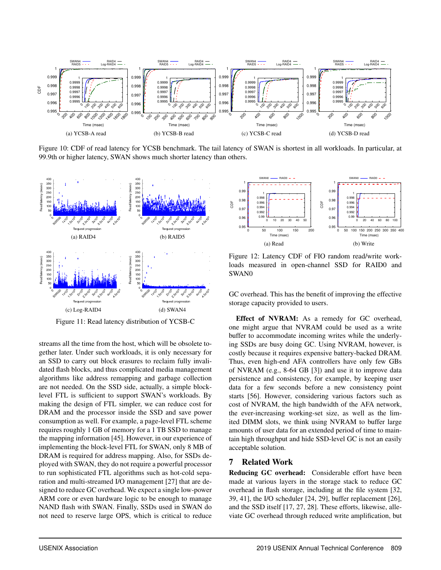

Figure 10: CDF of read latency for YCSB benchmark. The tail latency of SWAN is shortest in all workloads. In particular, at 99.9th or higher latency, SWAN shows much shorter latency than others.



Figure 11: Read latency distribution of YCSB-C

streams all the time from the host, which will be obsolete together later. Under such workloads, it is only necessary for an SSD to carry out block erasures to reclaim fully invalidated flash blocks, and thus complicated media management algorithms like address remapping and garbage collection are not needed. On the SSD side, actually, a simple blocklevel FTL is sufficient to support SWAN's workloads. By making the design of FTL simpler, we can reduce cost for DRAM and the processor inside the SSD and save power consumption as well. For example, a page-level FTL scheme requires roughly 1 GB of memory for a 1 TB SSD to manage the mapping information [45]. However, in our experience of implementing the block-level FTL for SWAN, only 8 MB of DRAM is required for address mapping. Also, for SSDs deployed with SWAN, they do not require a powerful processor to run sophisticated FTL algorithms such as hot-cold separation and multi-streamed I/O management [27] that are designed to reduce GC overhead. We expect a single low-power ARM core or even hardware logic to be enough to manage NAND flash with SWAN. Finally, SSDs used in SWAN do not need to reserve large OPS, which is critical to reduce



Figure 12: Latency CDF of FIO random read/write workloads measured in open-channel SSD for RAID0 and SWAN0

GC overhead. This has the benefit of improving the effective storage capacity provided to users.

Effect of NVRAM: As a remedy for GC overhead, one might argue that NVRAM could be used as a write buffer to accommodate incoming writes while the underlying SSDs are busy doing GC. Using NVRAM, however, is costly because it requires expensive battery-backed DRAM. Thus, even high-end AFA controllers have only few GBs of NVRAM (e.g., 8-64 GB [3]) and use it to improve data persistence and consistency, for example, by keeping user data for a few seconds before a new consistency point starts [56]. However, considering various factors such as cost of NVRAM, the high bandwidth of the AFA network, the ever-increasing working-set size, as well as the limited DIMM slots, we think using NVRAM to buffer large amounts of user data for an extended period of time to maintain high throughput and hide SSD-level GC is not an easily acceptable solution.

### 7 Related Work

Reducing GC overhead: Considerable effort have been made at various layers in the storage stack to reduce GC overhead in flash storage, including at the file system [32, 39, 41], the I/O scheduler [24, 29], buffer replacement [26], and the SSD itself [17, 27, 28]. These efforts, likewise, alleviate GC overhead through reduced write amplification, but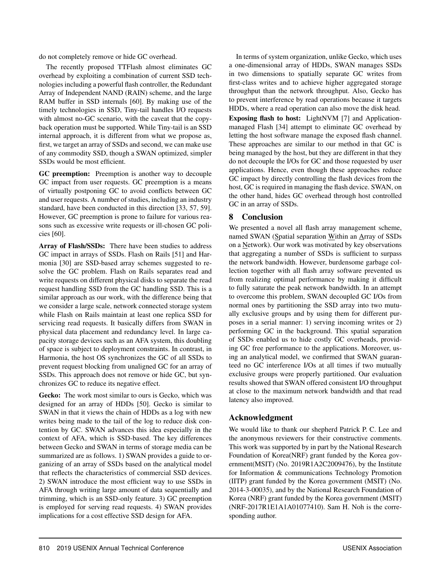do not completely remove or hide GC overhead.

The recently proposed TTFlash almost eliminates GC overhead by exploiting a combination of current SSD technologies including a powerful flash controller, the Redundant Array of Independent NAND (RAIN) scheme, and the large RAM buffer in SSD internals [60]. By making use of the timely technologies in SSD, Tiny-tail handles I/O requests with almost no-GC scenario, with the caveat that the copyback operation must be supported. While Tiny-tail is an SSD internal approach, it is different from what we propose as, first, we target an array of SSDs and second, we can make use of any commodity SSD, though a SWAN optimized, simpler SSDs would be most efficient.

GC preemption: Preemption is another way to decouple GC impact from user requests. GC preemption is a means of virtually postponing GC to avoid conflicts between GC and user requests. A number of studies, including an industry standard, have been conducted in this direction [33, 57, 59]. However, GC preemption is prone to failure for various reasons such as excessive write requests or ill-chosen GC policies [60].

Array of Flash/SSDs: There have been studies to address GC impact in arrays of SSDs. Flash on Rails [51] and Harmonia [30] are SSD-based array schemes suggested to resolve the GC problem. Flash on Rails separates read and write requests on different physical disks to separate the read request handling SSD from the GC handling SSD. This is a similar approach as our work, with the difference being that we consider a large scale, network connected storage system while Flash on Rails maintain at least one replica SSD for servicing read requests. It basically differs from SWAN in physical data placement and redundancy level. In large capacity storage devices such as an AFA system, this doubling of space is subject to deployment constraints. In contrast, in Harmonia, the host OS synchronizes the GC of all SSDs to prevent request blocking from unaligned GC for an array of SSDs. This approach does not remove or hide GC, but synchronizes GC to reduce its negative effect.

Gecko: The work most similar to ours is Gecko, which was designed for an array of HDDs [50]. Gecko is similar to SWAN in that it views the chain of HDDs as a log with new writes being made to the tail of the log to reduce disk contention by GC. SWAN advances this idea especially in the context of AFA, which is SSD-based. The key differences between Gecko and SWAN in terms of storage media can be summarized are as follows. 1) SWAN provides a guide to organizing of an array of SSDs based on the analytical model that reflects the characteristics of commercial SSD devices. 2) SWAN introduce the most efficient way to use SSDs in AFA through writing large amount of data sequentially and trimming, which is an SSD-only feature. 3) GC preemption is employed for serving read requests. 4) SWAN provides implications for a cost effective SSD design for AFA.

In terms of system organization, unlike Gecko, which uses a one-dimensional array of HDDs, SWAN manages SSDs in two dimensions to spatially separate GC writes from first-class writes and to achieve higher aggregated storage throughput than the network throughput. Also, Gecko has to prevent interference by read operations because it targets HDDs, where a read operation can also move the disk head. Exposing flash to host: LightNVM [7] and Applicationmanaged Flash [34] attempt to eliminate GC overhead by letting the host software manage the exposed flash channel. These approaches are similar to our method in that GC is being managed by the host, but they are different in that they do not decouple the I/Os for GC and those requested by user applications. Hence, even though these approaches reduce GC impact by directly controlling the flash devices from the host, GC is required in managing the flash device. SWAN, on the other hand, hides GC overhead through host controlled GC in an array of SSDs.

## 8 Conclusion

We presented a novel all flash array management scheme, named SWAN (Spatial separation Within an Array of SSDs on a Network). Our work was motivated by key observations that aggregating a number of SSDs is sufficient to surpass the network bandwidth. However, burdensome garbage collection together with all flash array software prevented us from realizing optimal performance by making it difficult to fully saturate the peak network bandwidth. In an attempt to overcome this problem, SWAN decoupled GC I/Os from normal ones by partitioning the SSD array into two mutually exclusive groups and by using them for different purposes in a serial manner: 1) serving incoming writes or 2) performing GC in the background. This spatial separation of SSDs enabled us to hide costly GC overheads, providing GC free performance to the applications. Moreover, using an analytical model, we confirmed that SWAN guaranteed no GC interference I/Os at all times if two mutually exclusive groups were properly partitioned. Our evaluation results showed that SWAN offered consistent I/O throughput at close to the maximum network bandwidth and that read latency also improved.

## Acknowledgment

We would like to thank our shepherd Patrick P. C. Lee and the anonymous reviewers for their constructive comments. This work was supported by in part by the National Research Foundation of Korea(NRF) grant funded by the Korea government(MSIT) (No. 2019R1A2C2009476), by the Institute for Information & communications Technology Promotion (IITP) grant funded by the Korea government (MSIT) (No. 2014-3-00035), and by the National Research Foundation of Korea (NRF) grant funded by the Korea government (MSIT) (NRF-2017R1E1A1A01077410). Sam H. Noh is the corresponding author.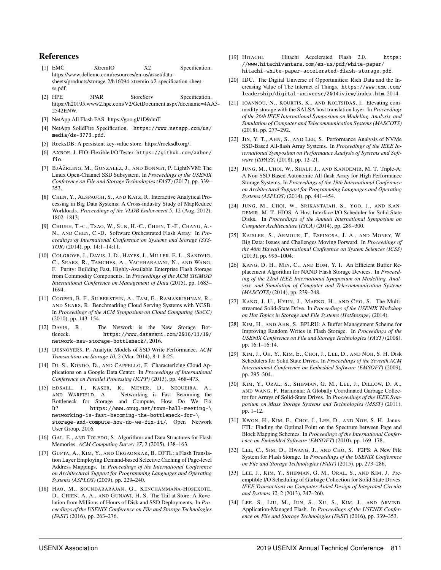### References

- [1] EMC XtremIO X2 Specification. https://www.dellemc.com/resources/en-us/asset/datasheets/products/storage-2/h16094-xtremio-x2-specification-sheetss.pdf.
- [2] HPE 3PAR StoreServ Specification. https://h20195.www2.hpe.com/V2/GetDocument.aspx?docname=4AA3- 2542ENW.
- [3] NetApp All Flash FAS. https://goo.gl/1D9dmT.
- [4] NetApp SolidFire Specification. https://www.netapp.com/us/ media/ds-3773.pdf.
- [5] RocksDB: A persistent key-value store. https://rocksdb.org/.
- [6] AXBOE, J. FIO: Flexible I/O Tester. https://github.com/axboe/ fio.
- [7] BJÃŽRLING, M., GONZALEZ, J., AND BONNET, P. LightNVM: The Linux Open-Channel SSD Subsystem. In *Proceedings of the USENIX Conference on File and Storage Technologies (FAST)* (2017), pp. 339– 353.
- [8] CHEN, Y., ALSPAUGH, S., AND KATZ, R. Interactive Analytical Processing in Big Data Systems: A Cross-industry Study of MapReduce Workloads. *Proceedings of the VLDB Endowment 5*, 12 (Aug. 2012), 1802–1813.
- [9] CHIUEH, T.-C., TSAO, W., SUN, H.-C., CHIEN, T.-F., CHANG, A.- N., AND CHEN, C.-D. Software Orchestrated Flash Array. In *Proceedings of International Conference on Systems and Storage (SYS-TOR)* (2014), pp. 14:1–14:11.
- [10] COLGROVE, J., DAVIS, J. D., HAYES, J., MILLER, E. L., SANDVIG, C., SEARS, R., TAMCHES, A., VACHHARAJANI, N., AND WANG, F. Purity: Building Fast, Highly-Available Enterprise Flash Storage from Commodity Components. In *Proceedings of the ACM SIGMOD International Conference on Management of Data* (2015), pp. 1683– 1694.
- [11] COOPER, B. F., SILBERSTEIN, A., TAM, E., RAMAKRISHNAN, R., AND SEARS, R. Benchmarking Cloud Serving Systems with YCSB. In *Proceedings of the ACM Symposium on Cloud Computing (SoCC)* (2010), pp. 143–154.
- [12] DAVIS, R. The Network is the New Storage Bottleneck. https://www.datanami.com/2016/11/10/ network-new-storage-bottleneck/, 2016.
- [13] DESNOYERS, P. Analytic Models of SSD Write Performance. *ACM Transactions on Storage 10*, 2 (Mar. 2014), 8:1–8:25.
- [14] DI, S., KONDO, D., AND CAPPELLO, F. Characterizing Cloud Applications on a Google Data Center. In *Proceedings of International Conference on Parallel Processing (ICPP)* (2013), pp. 468–473.
- [15] EDSALL, T., KASER, R., MEYER, D., SEQUEIRA, A., AND WARFIELD, A. Networking is Fast Becoming the Bottleneck for Storage and Compute, How Do We Fix It? https://www.onug.net/town-hall-meeting-\ networking-is-fast-becoming-the-bottleneck-for-\ storage-and-compute-how-do-we-fix-it/, Open Network User Group, 2016.
- [16] GAL, E., AND TOLEDO, S. Algorithms and Data Structures for Flash Memories. *ACM Computing Survey 37*, 2 (2005), 138–163.
- [17] GUPTA, A., KIM, Y., AND URGAONKAR, B. DFTL: a Flash Translation Layer Employing Demand-based Selective Caching of Page-level Address Mappings. In *Proceedings of the International Conference on Architectural Support for Programming Languages and Operating Systems (ASPLOS)* (2009), pp. 229–240.
- [18] HAO, M., SOUNDARARAJAN, G., KENCHAMMANA-HOSEKOTE, D., CHIEN, A. A., AND GUNAWI, H. S. The Tail at Store: A Revelation from Millions of Hours of Disk and SSD Deployments. In *Proceedings of the USENIX Conference on File and Storage Technologies (FAST)* (2016), pp. 263–276.
- [19] HITACHI. Hitachi Accelerated Flash 2.0. https: //www.hitachivantara.com/en-us/pdf/white-paper/ hitachi-white-paper-accelerated-flash-storage.pdf.
- [20] IDC. The Digital Universe of Opportunities: Rich Data and the Increasing Value of The Internet of Things. https://www.emc.com/ leadership/digital-universe/2014iview/index.htm, 2014.
- [21] IOANNOU, N., KOURTIS, K., AND KOLTSIDAS, I. Elevating commodity storage with the SALSA host translation layer. In *Proceedings of the 26th IEEE International Symposium on Modeling, Analysis, and Simulation of Computer and Telecommunication Systems (MASCOTS)* (2018), pp. 277–292.
- [22] JIN, Y. T., AHN, S., AND LEE, S. Performance Analysis of NVMe SSD-Based All-flash Array Systems. In *Proceedings of the IEEE International Symposium on Performance Analysis of Systems and Software (ISPASS)* (2018), pp. 12–21.
- [23] JUNG, M., CHOI, W., SHALF, J., AND KANDEMIR, M. T. Triple-A: A Non-SSD Based Autonomic All-flash Array for High Performance Storage Systems. In *Proceedings of the 19th International Conference on Architectural Support for Programming Languages and Operating Systems (ASPLOS)* (2014), pp. 441–454.
- [24] JUNG, M., CHOI, W., SRIKANTAIAH, S., YOO, J., AND KAN-DEMIR, M. T. HIOS: A Host Interface I/O Scheduler for Solid State Disks. In *Proceedings of the Annual International Symposium on Computer Architecuture (ISCA)* (2014), pp. 289–300.
- [25] KAISLER, S., ARMOUR, F., ESPINOSA, J. A., AND MONEY, W. Big Data: Issues and Challenges Moving Forward. In *Proceedings of the 46th Hawaii International Conference on System Sciences (ICSS)* (2013), pp. 995–1004.
- [26] KANG, D. H., MIN, C., AND EOM, Y. I. An Efficient Buffer Replacement Algorithm for NAND Flash Storage Devices. In *Proceeding of the 22nd IEEE International Symposium on Modelling, Analysis, and Simulation of Computer and Telecommunication Systems (MASCOTS)* (2014), pp. 239–248.
- [27] KANG, J.-U., HYUN, J., MAENG, H., AND CHO, S. The Multistreamed Solid-State Drive. In *Proceedings of the USENIX Workshop on Hot Topics in Storage and File Systems (HotStorage)* (2014).
- [28] KIM, H., AND AHN, S. BPLRU: A Buffer Management Scheme for Improving Random Writes in Flash Storage. In *Proceedings of the USENIX Conference on File and Storage Technologies (FAST)* (2008), pp. 16:1–16:14.
- [29] KIM, J., OH, Y., KIM, E., CHOI, J., LEE, D., AND NOH, S. H. Disk Schedulers for Solid State Drives. In *Proceedings of the Seventh ACM International Conference on Embedded Software (EMSOFT)* (2009), pp. 295–304.
- [30] KIM, Y., ORAL, S., SHIPMAN, G. M., LEE, J., DILLOW, D. A., AND WANG, F. Harmonia: A Globally Coordinated Garbage Collector for Arrays of Solid-State Drives. In *Proceedings of the IEEE Symposium on Mass Storage Systems and Technologies (MSST)* (2011), pp. 1–12.
- [31] KWON, H., KIM, E., CHOI, J., LEE, D., AND NOH, S. H. Janus-FTL: Finding the Optimal Point on the Spectrum between Page and Block Mapping Schemes. In *Proceedings of the International Conference on Embedded Software (EMSOFT)* (2010), pp. 169–178.
- [32] LEE, C., SIM, D., HWANG, J., AND CHO, S. F2FS: A New File System for Flash Storage. In *Proceedings of the USENIX Conference on File and Storage Technologies (FAST)* (2015), pp. 273–286.
- [33] LEE, J., KIM, Y., SHIPMAN, G. M., ORAL, S., AND KIM, J. Preemptible I/O Scheduling of Garbage Collection for Solid State Drives. *IEEE Transactions on Computer-Aided Design of Integrated Circuits and Systems 32*, 2 (2013), 247–260.
- [34] LEE, S., LIU, M., JUN, S., XU, S., KIM, J., AND ARVIND. Application-Managed Flash. In *Proceedings of the USENIX Conference on File and Storage Technologies (FAST)* (2016), pp. 339–353.